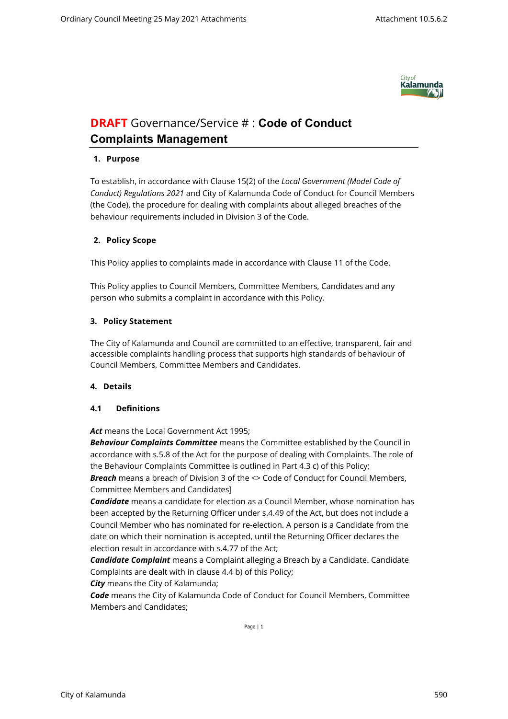

# **DRAFT** Governance/Service # : **Code of Conduct Complaints Management**

# **1. Purpose**

To establish, in accordance with Clause 15(2) of the *Local Government (Model Code of Conduct) Regulations 2021* and City of Kalamunda Code of Conduct for Council Members (the Code), the procedure for dealing with complaints about alleged breaches of the behaviour requirements included in Division 3 of the Code.

# **2. Policy Scope**

This Policy applies to complaints made in accordance with Clause 11 of the Code.

This Policy applies to Council Members, Committee Members, Candidates and any person who submits a complaint in accordance with this Policy.

# **3. Policy Statement**

The City of Kalamunda and Council are committed to an effective, transparent, fair and accessible complaints handling process that supports high standards of behaviour of Council Members, Committee Members and Candidates.

# **4. Details**

# **4.1 Definitions**

*Act* means the Local Government Act 1995;

*Behaviour Complaints Committee* means the Committee established by the Council in accordance with s.5.8 of the Act for the purpose of dealing with Complaints. The role of the Behaviour Complaints Committee is outlined in Part 4.3 c) of this Policy; *Breach* means a breach of Division 3 of the <> Code of Conduct for Council Members, Committee Members and Candidates]

*Candidate* means a candidate for election as a Council Member, whose nomination has been accepted by the Returning Officer under s.4.49 of the Act, but does not include a Council Member who has nominated for re-election. A person is a Candidate from the date on which their nomination is accepted, until the Returning Officer declares the election result in accordance with s.4.77 of the Act;

*Candidate Complaint* means a Complaint alleging a Breach by a Candidate. Candidate Complaints are dealt with in clause 4.4 b) of this Policy;

*City* means the City of Kalamunda;

*Code* means the City of Kalamunda Code of Conduct for Council Members, Committee Members and Candidates;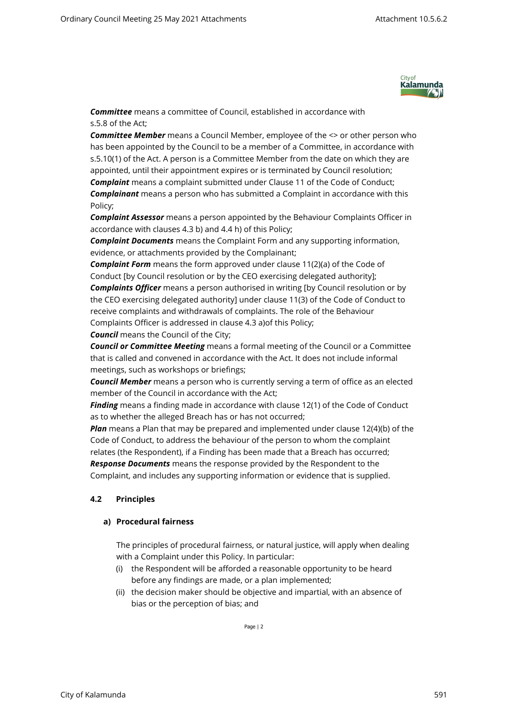

*Committee* means a committee of Council, established in accordance with s.5.8 of the Act;

*Committee Member* means a Council Member, employee of the <> or other person who has been appointed by the Council to be a member of a Committee, in accordance with s.5.10(1) of the Act. A person is a Committee Member from the date on which they are appointed, until their appointment expires or is terminated by Council resolution; *Complaint* means a complaint submitted under Clause 11 of the Code of Conduct; *Complainant* means a person who has submitted a Complaint in accordance with this Policy;

*Complaint Assessor* means a person appointed by the Behaviour Complaints Officer in accordance with clauses 4.3 b) and 4.4 h) of this Policy;

*Complaint Documents* means the Complaint Form and any supporting information, evidence, or attachments provided by the Complainant;

*Complaint Form* means the form approved under clause 11(2)(a) of the Code of Conduct [by Council resolution or by the CEO exercising delegated authority]; *Complaints Officer* means a person authorised in writing [by Council resolution or by the CEO exercising delegated authority] under clause 11(3) of the Code of Conduct to receive complaints and withdrawals of complaints. The role of the Behaviour Complaints Officer is addressed in clause 4.3 a)of this Policy;

*Council* means the Council of the City;

*Council or Committee Meeting* means a formal meeting of the Council or a Committee that is called and convened in accordance with the Act. It does not include informal meetings, such as workshops or briefings;

*Council Member* means a person who is currently serving a term of office as an elected member of the Council in accordance with the Act;

*Finding* means a finding made in accordance with clause 12(1) of the Code of Conduct as to whether the alleged Breach has or has not occurred;

*Plan* means a Plan that may be prepared and implemented under clause 12(4)(b) of the Code of Conduct, to address the behaviour of the person to whom the complaint relates (the Respondent), if a Finding has been made that a Breach has occurred; *Response Documents* means the response provided by the Respondent to the Complaint, and includes any supporting information or evidence that is supplied.

# **4.2 Principles**

#### **a) Procedural fairness**

The principles of procedural fairness, or natural justice, will apply when dealing with a Complaint under this Policy. In particular:

- (i) the Respondent will be afforded a reasonable opportunity to be heard before any findings are made, or a plan implemented;
- (ii) the decision maker should be objective and impartial, with an absence of bias or the perception of bias; and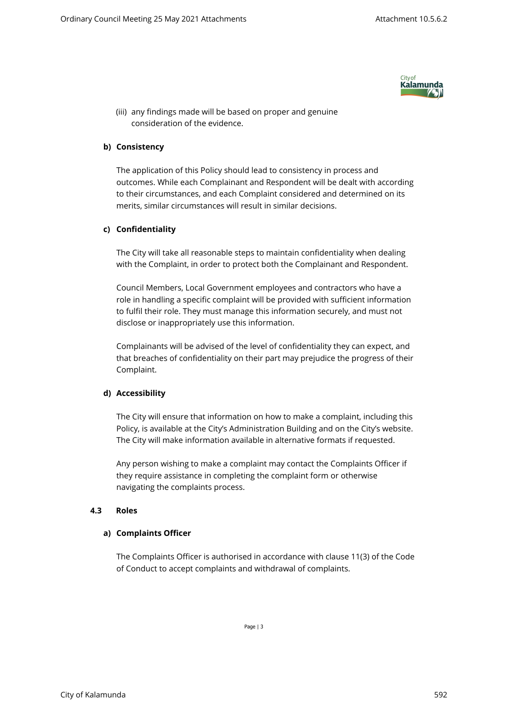

(iii) any findings made will be based on proper and genuine consideration of the evidence.

## **b) Consistency**

The application of this Policy should lead to consistency in process and outcomes. While each Complainant and Respondent will be dealt with according to their circumstances, and each Complaint considered and determined on its merits, similar circumstances will result in similar decisions.

## **c) Confidentiality**

The City will take all reasonable steps to maintain confidentiality when dealing with the Complaint, in order to protect both the Complainant and Respondent.

Council Members, Local Government employees and contractors who have a role in handling a specific complaint will be provided with sufficient information to fulfil their role. They must manage this information securely, and must not disclose or inappropriately use this information.

Complainants will be advised of the level of confidentiality they can expect, and that breaches of confidentiality on their part may prejudice the progress of their Complaint.

#### **d) Accessibility**

The City will ensure that information on how to make a complaint, including this Policy, is available at the City's Administration Building and on the City's website. The City will make information available in alternative formats if requested.

Any person wishing to make a complaint may contact the Complaints Officer if they require assistance in completing the complaint form or otherwise navigating the complaints process.

#### **4.3 Roles**

#### **a) Complaints Officer**

The Complaints Officer is authorised in accordance with clause 11(3) of the Code of Conduct to accept complaints and withdrawal of complaints.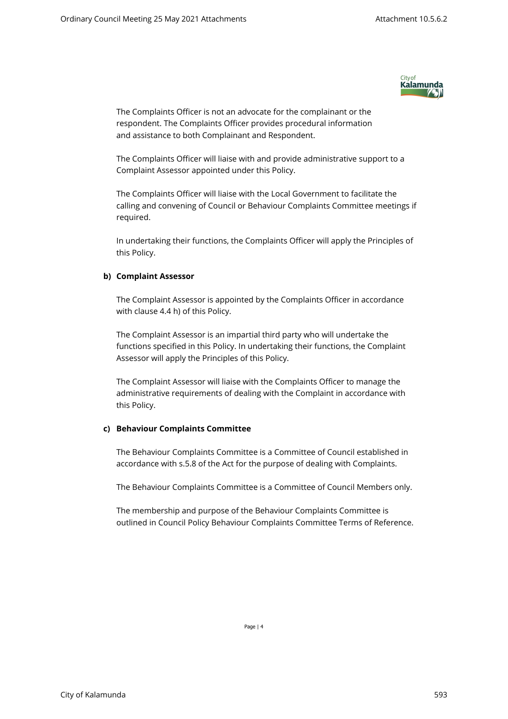

The Complaints Officer is not an advocate for the complainant or the respondent. The Complaints Officer provides procedural information and assistance to both Complainant and Respondent.

The Complaints Officer will liaise with and provide administrative support to a Complaint Assessor appointed under this Policy.

The Complaints Officer will liaise with the Local Government to facilitate the calling and convening of Council or Behaviour Complaints Committee meetings if required.

In undertaking their functions, the Complaints Officer will apply the Principles of this Policy.

# **b) Complaint Assessor**

The Complaint Assessor is appointed by the Complaints Officer in accordance with clause 4.4 h) of this Policy.

The Complaint Assessor is an impartial third party who will undertake the functions specified in this Policy. In undertaking their functions, the Complaint Assessor will apply the Principles of this Policy.

The Complaint Assessor will liaise with the Complaints Officer to manage the administrative requirements of dealing with the Complaint in accordance with this Policy.

#### **c) Behaviour Complaints Committee**

The Behaviour Complaints Committee is a Committee of Council established in accordance with s.5.8 of the Act for the purpose of dealing with Complaints.

The Behaviour Complaints Committee is a Committee of Council Members only.

The membership and purpose of the Behaviour Complaints Committee is outlined in Council Policy Behaviour Complaints Committee Terms of Reference.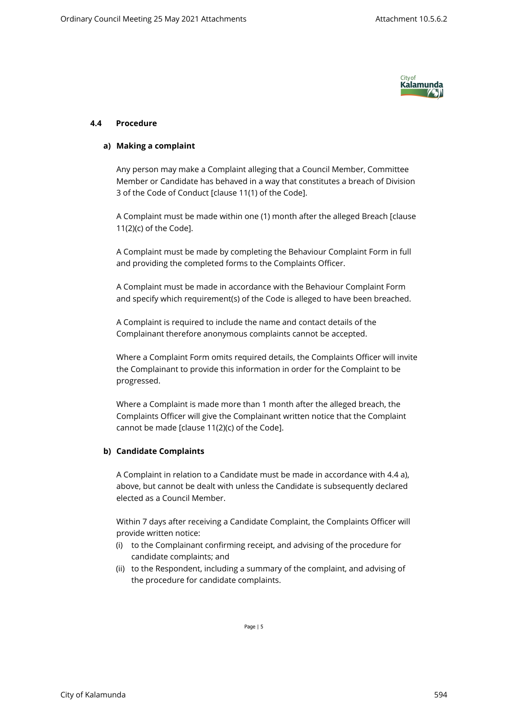

## **4.4 Procedure**

#### **a) Making a complaint**

Any person may make a Complaint alleging that a Council Member, Committee Member or Candidate has behaved in a way that constitutes a breach of Division 3 of the Code of Conduct [clause 11(1) of the Code].

A Complaint must be made within one (1) month after the alleged Breach [clause 11(2)(c) of the Code].

A Complaint must be made by completing the Behaviour Complaint Form in full and providing the completed forms to the Complaints Officer.

A Complaint must be made in accordance with the Behaviour Complaint Form and specify which requirement(s) of the Code is alleged to have been breached.

A Complaint is required to include the name and contact details of the Complainant therefore anonymous complaints cannot be accepted.

Where a Complaint Form omits required details, the Complaints Officer will invite the Complainant to provide this information in order for the Complaint to be progressed.

Where a Complaint is made more than 1 month after the alleged breach, the Complaints Officer will give the Complainant written notice that the Complaint cannot be made [clause 11(2)(c) of the Code].

# **b) Candidate Complaints**

A Complaint in relation to a Candidate must be made in accordance with 4.4 a), above, but cannot be dealt with unless the Candidate is subsequently declared elected as a Council Member.

Within 7 days after receiving a Candidate Complaint, the Complaints Officer will provide written notice:

- (i) to the Complainant confirming receipt, and advising of the procedure for candidate complaints; and
- (ii) to the Respondent, including a summary of the complaint, and advising of the procedure for candidate complaints.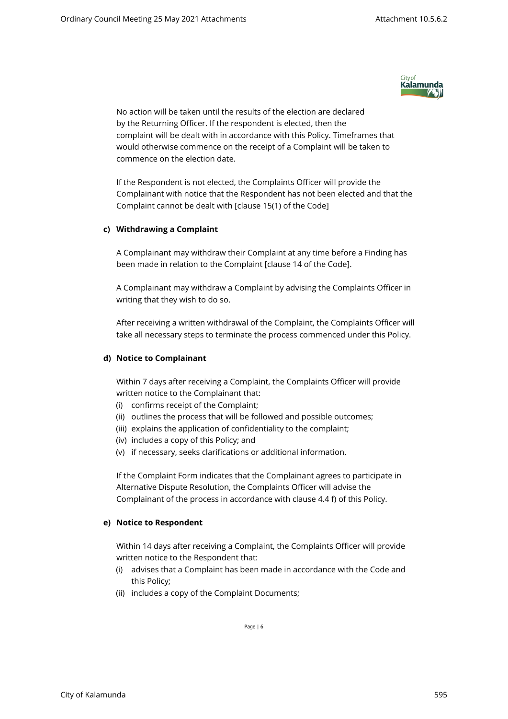

No action will be taken until the results of the election are declared by the Returning Officer. If the respondent is elected, then the complaint will be dealt with in accordance with this Policy. Timeframes that would otherwise commence on the receipt of a Complaint will be taken to commence on the election date.

If the Respondent is not elected, the Complaints Officer will provide the Complainant with notice that the Respondent has not been elected and that the Complaint cannot be dealt with [clause 15(1) of the Code]

## **c) Withdrawing a Complaint**

A Complainant may withdraw their Complaint at any time before a Finding has been made in relation to the Complaint [clause 14 of the Code].

A Complainant may withdraw a Complaint by advising the Complaints Officer in writing that they wish to do so.

After receiving a written withdrawal of the Complaint, the Complaints Officer will take all necessary steps to terminate the process commenced under this Policy.

## **d) Notice to Complainant**

Within 7 days after receiving a Complaint, the Complaints Officer will provide written notice to the Complainant that:

- (i) confirms receipt of the Complaint;
- (ii) outlines the process that will be followed and possible outcomes;
- (iii) explains the application of confidentiality to the complaint;
- (iv) includes a copy of this Policy; and
- (v) if necessary, seeks clarifications or additional information.

If the Complaint Form indicates that the Complainant agrees to participate in Alternative Dispute Resolution, the Complaints Officer will advise the Complainant of the process in accordance with clause 4.4 f) of this Policy.

#### **e) Notice to Respondent**

Within 14 days after receiving a Complaint, the Complaints Officer will provide written notice to the Respondent that:

- (i) advises that a Complaint has been made in accordance with the Code and this Policy;
- (ii) includes a copy of the Complaint Documents;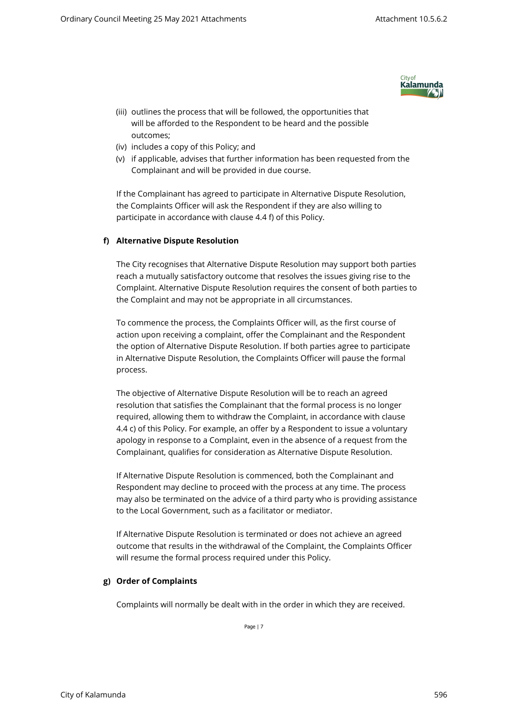

- (iii) outlines the process that will be followed, the opportunities that will be afforded to the Respondent to be heard and the possible outcomes;
- (iv) includes a copy of this Policy; and
- (v) if applicable, advises that further information has been requested from the Complainant and will be provided in due course.

If the Complainant has agreed to participate in Alternative Dispute Resolution, the Complaints Officer will ask the Respondent if they are also willing to participate in accordance with clause 4.4 f) of this Policy.

# **f) Alternative Dispute Resolution**

The City recognises that Alternative Dispute Resolution may support both parties reach a mutually satisfactory outcome that resolves the issues giving rise to the Complaint. Alternative Dispute Resolution requires the consent of both parties to the Complaint and may not be appropriate in all circumstances.

To commence the process, the Complaints Officer will, as the first course of action upon receiving a complaint, offer the Complainant and the Respondent the option of Alternative Dispute Resolution. If both parties agree to participate in Alternative Dispute Resolution, the Complaints Officer will pause the formal process.

The objective of Alternative Dispute Resolution will be to reach an agreed resolution that satisfies the Complainant that the formal process is no longer required, allowing them to withdraw the Complaint, in accordance with clause 4.4 c) of this Policy. For example, an offer by a Respondent to issue a voluntary apology in response to a Complaint, even in the absence of a request from the Complainant, qualifies for consideration as Alternative Dispute Resolution.

If Alternative Dispute Resolution is commenced, both the Complainant and Respondent may decline to proceed with the process at any time. The process may also be terminated on the advice of a third party who is providing assistance to the Local Government, such as a facilitator or mediator.

If Alternative Dispute Resolution is terminated or does not achieve an agreed outcome that results in the withdrawal of the Complaint, the Complaints Officer will resume the formal process required under this Policy.

# **g) Order of Complaints**

Complaints will normally be dealt with in the order in which they are received.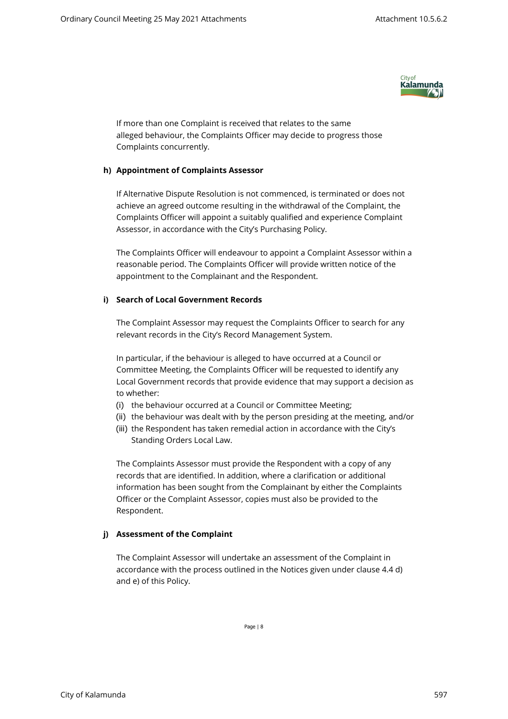

If more than one Complaint is received that relates to the same alleged behaviour, the Complaints Officer may decide to progress those Complaints concurrently.

## **h) Appointment of Complaints Assessor**

If Alternative Dispute Resolution is not commenced, is terminated or does not achieve an agreed outcome resulting in the withdrawal of the Complaint, the Complaints Officer will appoint a suitably qualified and experience Complaint Assessor, in accordance with the City's Purchasing Policy.

The Complaints Officer will endeavour to appoint a Complaint Assessor within a reasonable period. The Complaints Officer will provide written notice of the appointment to the Complainant and the Respondent.

# **i) Search of Local Government Records**

The Complaint Assessor may request the Complaints Officer to search for any relevant records in the City's Record Management System.

In particular, if the behaviour is alleged to have occurred at a Council or Committee Meeting, the Complaints Officer will be requested to identify any Local Government records that provide evidence that may support a decision as to whether:

- (i) the behaviour occurred at a Council or Committee Meeting;
- (ii) the behaviour was dealt with by the person presiding at the meeting, and/or
- (iii) the Respondent has taken remedial action in accordance with the City's Standing Orders Local Law.

The Complaints Assessor must provide the Respondent with a copy of any records that are identified. In addition, where a clarification or additional information has been sought from the Complainant by either the Complaints Officer or the Complaint Assessor, copies must also be provided to the Respondent.

# **j) Assessment of the Complaint**

The Complaint Assessor will undertake an assessment of the Complaint in accordance with the process outlined in the Notices given under clause 4.4 d) and e) of this Policy.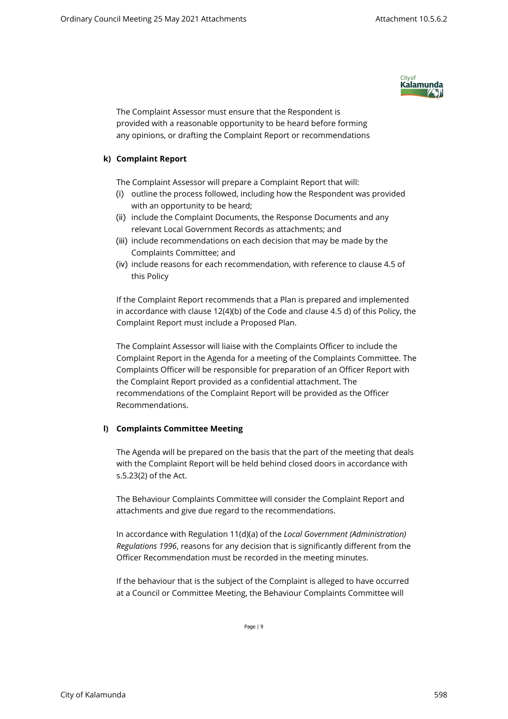

The Complaint Assessor must ensure that the Respondent is provided with a reasonable opportunity to be heard before forming any opinions, or drafting the Complaint Report or recommendations

## **k) Complaint Report**

The Complaint Assessor will prepare a Complaint Report that will:

- (i) outline the process followed, including how the Respondent was provided with an opportunity to be heard;
- (ii) include the Complaint Documents, the Response Documents and any relevant Local Government Records as attachments; and
- (iii) include recommendations on each decision that may be made by the Complaints Committee; and
- (iv) include reasons for each recommendation, with reference to clause 4.5 of this Policy

If the Complaint Report recommends that a Plan is prepared and implemented in accordance with clause 12(4)(b) of the Code and clause 4.5 d) of this Policy, the Complaint Report must include a Proposed Plan.

The Complaint Assessor will liaise with the Complaints Officer to include the Complaint Report in the Agenda for a meeting of the Complaints Committee. The Complaints Officer will be responsible for preparation of an Officer Report with the Complaint Report provided as a confidential attachment. The recommendations of the Complaint Report will be provided as the Officer Recommendations.

# **l) Complaints Committee Meeting**

The Agenda will be prepared on the basis that the part of the meeting that deals with the Complaint Report will be held behind closed doors in accordance with s.5.23(2) of the Act.

The Behaviour Complaints Committee will consider the Complaint Report and attachments and give due regard to the recommendations.

In accordance with Regulation 11(d)(a) of the *Local Government (Administration) Regulations 1996*, reasons for any decision that is significantly different from the Officer Recommendation must be recorded in the meeting minutes.

If the behaviour that is the subject of the Complaint is alleged to have occurred at a Council or Committee Meeting, the Behaviour Complaints Committee will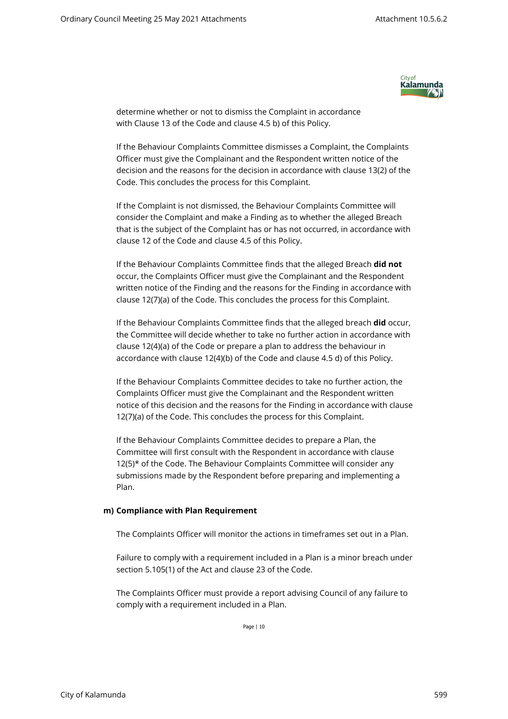

determine whether or not to dismiss the Complaint in accordance with Clause 13 of the Code and clause 4.5 b) of this Policy.

If the Behaviour Complaints Committee dismisses a Complaint, the Complaints Officer must give the Complainant and the Respondent written notice of the decision and the reasons for the decision in accordance with clause 13(2) of the Code. This concludes the process for this Complaint.

If the Complaint is not dismissed, the Behaviour Complaints Committee will consider the Complaint and make a Finding as to whether the alleged Breach that is the subject of the Complaint has or has not occurred, in accordance with clause 12 of the Code and clause 4.5 of this Policy.

If the Behaviour Complaints Committee finds that the alleged Breach **did not** occur, the Complaints Officer must give the Complainant and the Respondent written notice of the Finding and the reasons for the Finding in accordance with clause 12(7)(a) of the Code. This concludes the process for this Complaint.

If the Behaviour Complaints Committee finds that the alleged breach **did** occur, the Committee will decide whether to take no further action in accordance with clause 12(4)(a) of the Code or prepare a plan to address the behaviour in accordance with clause 12(4)(b) of the Code and clause 4.5 d) of this Policy.

If the Behaviour Complaints Committee decides to take no further action, the Complaints Officer must give the Complainant and the Respondent written notice of this decision and the reasons for the Finding in accordance with clause 12(7)(a) of the Code. This concludes the process for this Complaint.

If the Behaviour Complaints Committee decides to prepare a Plan, the Committee will first consult with the Respondent in accordance with clause 12(5)\* of the Code. The Behaviour Complaints Committee will consider any submissions made by the Respondent before preparing and implementing a Plan.

#### **m) Compliance with Plan Requirement**

The Complaints Officer will monitor the actions in timeframes set out in a Plan.

Failure to comply with a requirement included in a Plan is a minor breach under section 5.105(1) of the Act and clause 23 of the Code.

The Complaints Officer must provide a report advising Council of any failure to comply with a requirement included in a Plan.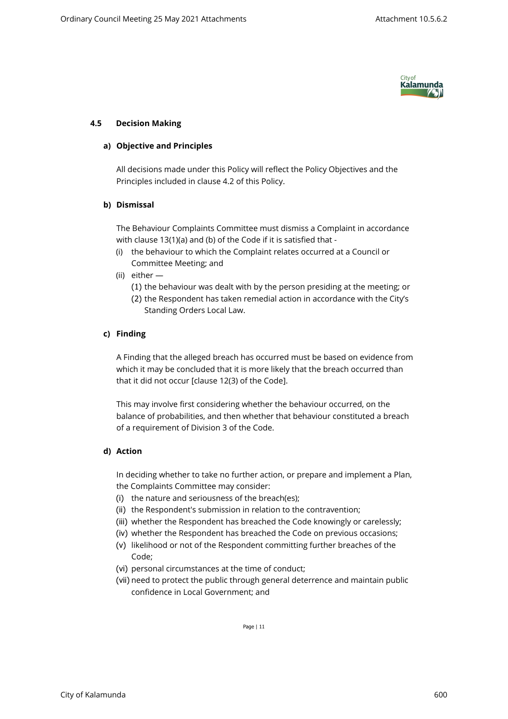

# **4.5 Decision Making**

## **a) Objective and Principles**

All decisions made under this Policy will reflect the Policy Objectives and the Principles included in clause 4.2 of this Policy.

## **b) Dismissal**

The Behaviour Complaints Committee must dismiss a Complaint in accordance with clause 13(1)(a) and (b) of the Code if it is satisfied that -

- (i) the behaviour to which the Complaint relates occurred at a Council or Committee Meeting; and
- (ii) either
	- (1) the behaviour was dealt with by the person presiding at the meeting; or
	- (2) the Respondent has taken remedial action in accordance with the City's Standing Orders Local Law.

# **c) Finding**

A Finding that the alleged breach has occurred must be based on evidence from which it may be concluded that it is more likely that the breach occurred than that it did not occur [clause 12(3) of the Code].

This may involve first considering whether the behaviour occurred, on the balance of probabilities, and then whether that behaviour constituted a breach of a requirement of Division 3 of the Code.

# **d) Action**

In deciding whether to take no further action, or prepare and implement a Plan, the Complaints Committee may consider:

- (i) the nature and seriousness of the breach(es);
- (ii) the Respondent's submission in relation to the contravention;
- (iii) whether the Respondent has breached the Code knowingly or carelessly;
- (iv) whether the Respondent has breached the Code on previous occasions;
- (v) likelihood or not of the Respondent committing further breaches of the Code;
- (vi) personal circumstances at the time of conduct;
- (vii) need to protect the public through general deterrence and maintain public confidence in Local Government; and